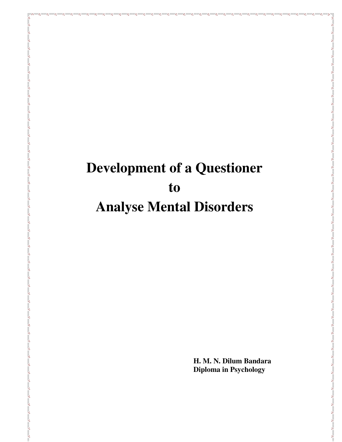# **Development of a Questioner to Analyse Mental Disorders**

**H. M. N. Dilum Bandara Diploma in Psychology**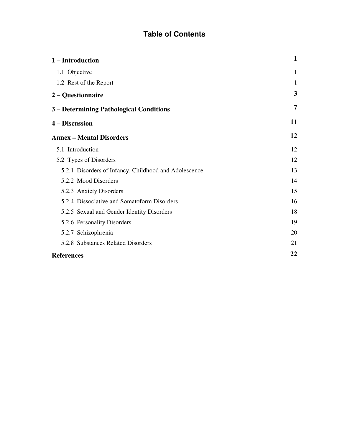# **Table of Contents**

| 1 – Introduction                                      | 1  |
|-------------------------------------------------------|----|
| 1.1 Objective                                         | 1  |
| 1.2 Rest of the Report                                | 1  |
| 2 – Questionnaire                                     | 3  |
| 3 – Determining Pathological Conditions               | 7  |
| 4 – Discussion                                        | 11 |
| <b>Annex - Mental Disorders</b>                       | 12 |
| 5.1 Introduction                                      | 12 |
| 5.2 Types of Disorders                                | 12 |
| 5.2.1 Disorders of Infancy, Childhood and Adolescence | 13 |
| 5.2.2 Mood Disorders                                  | 14 |
| 5.2.3 Anxiety Disorders                               | 15 |
| 5.2.4 Dissociative and Somatoform Disorders           | 16 |
| 5.2.5 Sexual and Gender Identity Disorders            | 18 |
| 5.2.6 Personality Disorders                           | 19 |
| 5.2.7 Schizophrenia                                   | 20 |
| 5.2.8 Substances Related Disorders                    | 21 |
| <b>References</b>                                     | 22 |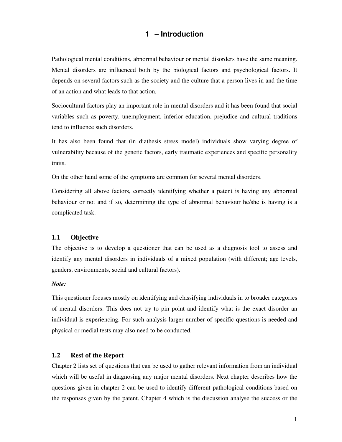# **1 – Introduction**

Pathological mental conditions, abnormal behaviour or mental disorders have the same meaning. Mental disorders are influenced both by the biological factors and psychological factors. It depends on several factors such as the society and the culture that a person lives in and the time of an action and what leads to that action.

Sociocultural factors play an important role in mental disorders and it has been found that social variables such as poverty, unemployment, inferior education, prejudice and cultural traditions tend to influence such disorders.

It has also been found that (in diathesis stress model) individuals show varying degree of vulnerability because of the genetic factors, early traumatic experiences and specific personality traits.

On the other hand some of the symptoms are common for several mental disorders.

Considering all above factors, correctly identifying whether a patent is having any abnormal behaviour or not and if so, determining the type of abnormal behaviour he/she is having is a complicated task.

# **1.1 Objective**

The objective is to develop a questioner that can be used as a diagnosis tool to assess and identify any mental disorders in individuals of a mixed population (with different; age levels, genders, environments, social and cultural factors).

#### *Note:*

This questioner focuses mostly on identifying and classifying individuals in to broader categories of mental disorders. This does not try to pin point and identify what is the exact disorder an individual is experiencing. For such analysis larger number of specific questions is needed and physical or medial tests may also need to be conducted.

# **1.2 Rest of the Report**

Chapter 2 lists set of questions that can be used to gather relevant information from an individual which will be useful in diagnosing any major mental disorders. Next chapter describes how the questions given in chapter 2 can be used to identify different pathological conditions based on the responses given by the patent. Chapter 4 which is the discussion analyse the success or the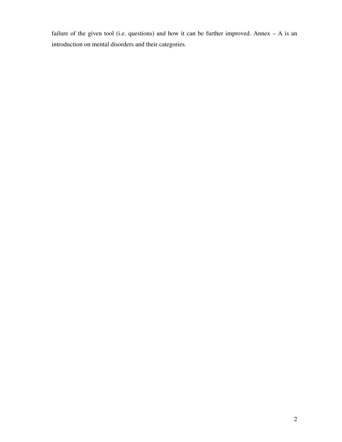failure of the given tool (i.e. questions) and how it can be further improved. Annex  $- A$  is an introduction on mental disorders and their categories.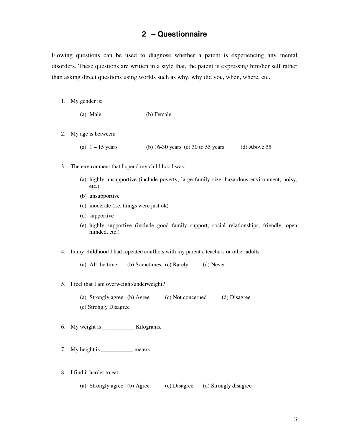# **2 – Questionnaire**

Flowing questions can be used to diagnose whether a patent is experiencing any mental disorders. These questions are written in a style that, the patent is expressing him/her self rather than asking direct questions using worlds such as why, why did you, when, where, etc.

1. My gender is:

| (a) Male | (b) Female |
|----------|------------|
|----------|------------|

2. My age is between:

(a)  $1 - 15$  years (b) 16-30 years (c) 30 to 55 years (d) Above 55

- 3. The environment that I spend my child hood was:
	- (a) highly unsupportive (include poverty, large family size, hazardous environment, noisy, etc.)
	- (b) unsupportive
	- (c) moderate (i.e. things were just ok)
	- (d) supportive
	- (e) highly supportive (include good family support, social relationships, friendly, open minded, etc.)
- 4. In my childhood I had repeated conflicts with my parents, teachers or other adults.
	- (a) All the time (b) Sometimes (c) Rarely (d) Never
- 5. I feel that I am overweight/underweight?
	- (a) Strongly agree (b) Agree (c) Not concerned (d) Disagree (e) Strongly Disagree
- 6. My weight is  $\qquad \qquad$  Kilograms.
- 7. My height is \_\_\_\_\_\_\_\_\_\_\_\_\_\_\_ meters.
- 8. I find it harder to eat.
	- (a) Strongly agree (b) Agree (c) Disagree (d) Strongly disagree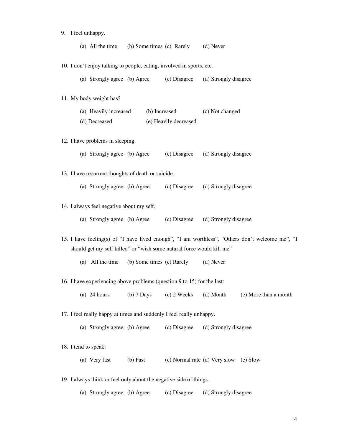|  | 9. I feel unhappy.                        |                                                                         |                                     |                                        |                                                                                                 |
|--|-------------------------------------------|-------------------------------------------------------------------------|-------------------------------------|----------------------------------------|-------------------------------------------------------------------------------------------------|
|  |                                           | (a) All the time (b) Some times (c) Rarely (d) Never                    |                                     |                                        |                                                                                                 |
|  |                                           |                                                                         |                                     |                                        |                                                                                                 |
|  |                                           | 10. I don't enjoy talking to people, eating, involved in sports, etc.   |                                     |                                        |                                                                                                 |
|  |                                           | (a) Strongly agree (b) Agree (c) Disagree                               |                                     | (d) Strongly disagree                  |                                                                                                 |
|  |                                           |                                                                         |                                     |                                        |                                                                                                 |
|  | 11. My body weight has?                   |                                                                         |                                     |                                        |                                                                                                 |
|  |                                           | (a) Heavily increased (b) Increased (c) Not changed                     |                                     |                                        |                                                                                                 |
|  | (d) Decreased                             |                                                                         | (e) Heavily decreased               |                                        |                                                                                                 |
|  |                                           |                                                                         |                                     |                                        |                                                                                                 |
|  | 12. I have problems in sleeping.          |                                                                         |                                     |                                        |                                                                                                 |
|  |                                           | (a) Strongly agree (b) Agree (c) Disagree                               |                                     | (d) Strongly disagree                  |                                                                                                 |
|  |                                           | 13. I have recurrent thoughts of death or suicide.                      |                                     |                                        |                                                                                                 |
|  |                                           |                                                                         |                                     |                                        |                                                                                                 |
|  |                                           | (a) Strongly agree (b) Agree (c) Disagree                               |                                     | (d) Strongly disagree                  |                                                                                                 |
|  | 14. I always feel negative about my self. |                                                                         |                                     |                                        |                                                                                                 |
|  |                                           |                                                                         |                                     |                                        |                                                                                                 |
|  |                                           | (a) Strongly agree (b) Agree (c) Disagree (d) Strongly disagree         |                                     |                                        |                                                                                                 |
|  |                                           |                                                                         |                                     |                                        | 15. I have feeling(s) of "I have lived enough", "I am worthless", "Others don't welcome me", "I |
|  |                                           | should get my self killed" or "wish some natural force would kill me"   |                                     |                                        |                                                                                                 |
|  | (a) All the time                          |                                                                         | (b) Some times (c) Rarely (d) Never |                                        |                                                                                                 |
|  |                                           |                                                                         |                                     |                                        |                                                                                                 |
|  |                                           | 16. I have experiencing above problems (question 9 to 15) for the last: |                                     |                                        |                                                                                                 |
|  | $(a)$ 24 hours                            | $(b)$ 7 Days                                                            | $(c)$ 2 Weeks                       | (d) Month                              | (e) More than a month                                                                           |
|  |                                           |                                                                         |                                     |                                        |                                                                                                 |
|  |                                           | 17. I feel really happy at times and suddenly I feel really unhappy.    |                                     |                                        |                                                                                                 |
|  | (a) Strongly agree (b) Agree              |                                                                         | (c) Disagree                        | (d) Strongly disagree                  |                                                                                                 |
|  |                                           |                                                                         |                                     |                                        |                                                                                                 |
|  | 18. I tend to speak:                      |                                                                         |                                     |                                        |                                                                                                 |
|  | (a) Very fast                             | $(b)$ Fast                                                              |                                     | (c) Normal rate (d) Very slow (e) Slow |                                                                                                 |

19. I always think or feel only about the negative side of things.

(a) Strongly agree (b) Agree (c) Disagree (d) Strongly disagree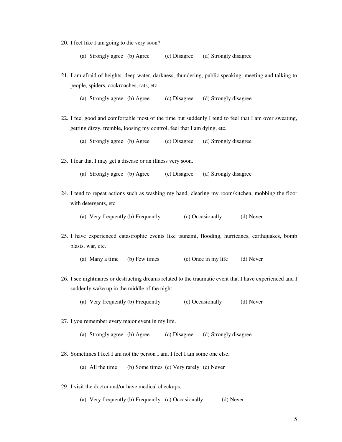- 20. I feel like I am going to die very soon?
	- (a) Strongly agree (b) Agree (c) Disagree (d) Strongly disagree
- 21. I am afraid of heights, deep water, darkness, thundering, public speaking, meeting and talking to people, spiders, cockroaches, rats, etc.
	- (a) Strongly agree (b) Agree (c) Disagree (d) Strongly disagree
- 22. I feel good and comfortable most of the time but suddenly I tend to feel that I am over sweating, getting dizzy, tremble, loosing my control, feel that I am dying, etc.
	- (a) Strongly agree (b) Agree (c) Disagree (d) Strongly disagree
- 23. I fear that I may get a disease or an illness very soon.
	- (a) Strongly agree (b) Agree (c) Disagree (d) Strongly disagree
- 24. I tend to repeat actions such as washing my hand, clearing my room/kitchen, mobbing the floor with detergents, etc
	- (a) Very frequently (b) Frequently (c) Occasionally (d) Never
- 25. I have experienced catastrophic events like tsunami, flooding, hurricanes, earthquakes, bomb blasts, war, etc.
	- (a) Many a time (b) Few times (c) Once in my life (d) Never
- 26. I see nightmares or destructing dreams related to the traumatic event that I have experienced and I suddenly wake up in the middle of the night.
	- (a) Very frequently (b) Frequently (c) Occasionally (d) Never
- 27. I you remember every major event in my life.
	- (a) Strongly agree (b) Agree (c) Disagree (d) Strongly disagree
- 28. Sometimes I feel I am not the person I am, I feel I am some one else.
	- (a) All the time (b) Some times (c) Very rarely (c) Never
- 29. I visit the doctor and/or have medical checkups.
	- (a) Very frequently (b) Frequently (c) Occasionally (d) Never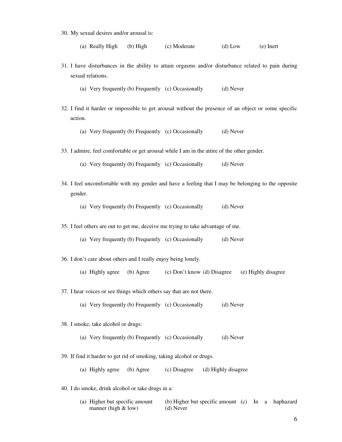30. My sexual desires and/or arousal is:

(a) Really High (b) High (c) Moderate (d) Low (e) Inert

31. I have disturbances in the ability to attain orgasms and/or disturbance related to pain during sexual relations.

(a) Very frequently (b) Frequently (c) Occasionally (d) Never

32. I find it harder or impossible to get arousal without the presence of an object or some specific action.

(a) Very frequently (b) Frequently (c) Occasionally (d) Never

- 33. I admire, feel comfortable or get arousal while I am in the attire of the other gender.
	- (a) Very frequently (b) Frequently (c) Occasionally (d) Never
- 34. I feel uncomfortable with my gender and have a feeling that I may be belonging to the opposite gender.

(a) Very frequently (b) Frequently (c) Occasionally (d) Never

35. I feel others are out to get me, deceive me trying to take advantage of me.

- (a) Very frequently (b) Frequently (c) Occasionally (d) Never
- 36. I don't care about others and I really enjoy being lonely.
	- (a) Highly agree (b) Agree (c) Don't know (d) Disagree (e) Highly disagree
- 37. I hear voices or see things which others say that are not there.
	- (a) Very frequently (b) Frequently (c) Occasionally (d) Never
- 38. I smoke, take alcohol or drugs:
	- (a) Very frequently (b) Frequently (c) Occasionally (d) Never
- 39. If find it harder to get rid of smoking, taking alcohol or drugs.
	- (a) Highly agree (b) Agree (c) Disagree (d) Highly disagree
- 40. I do smoke, drink alcohol or take drugs in a:

| (a) Higher but specific amount | (b) Higher but specific amount (c) In a haphazard |  |  |
|--------------------------------|---------------------------------------------------|--|--|
| manner (high $&$ low)          | (d) Never                                         |  |  |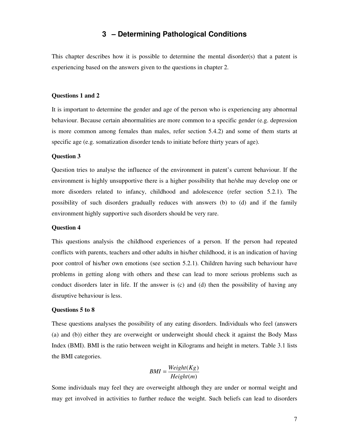# **3 – Determining Pathological Conditions**

This chapter describes how it is possible to determine the mental disorder(s) that a patent is experiencing based on the answers given to the questions in chapter 2.

## **Questions 1 and 2**

It is important to determine the gender and age of the person who is experiencing any abnormal behaviour. Because certain abnormalities are more common to a specific gender (e.g. depression is more common among females than males, refer section 5.4.2) and some of them starts at specific age (e.g. somatization disorder tends to initiate before thirty years of age).

# **Question 3**

Question tries to analyse the influence of the environment in patent's current behaviour. If the environment is highly unsupportive there is a higher possibility that he/she may develop one or more disorders related to infancy, childhood and adolescence (refer section 5.2.1). The possibility of such disorders gradually reduces with answers (b) to (d) and if the family environment highly supportive such disorders should be very rare.

## **Question 4**

This questions analysis the childhood experiences of a person. If the person had repeated conflicts with parents, teachers and other adults in his/her childhood, it is an indication of having poor control of his/her own emotions (see section 5.2.1). Children having such behaviour have problems in getting along with others and these can lead to more serious problems such as conduct disorders later in life. If the answer is (c) and (d) then the possibility of having any disruptive behaviour is less.

# **Questions 5 to 8**

These questions analyses the possibility of any eating disorders. Individuals who feel (answers (a) and (b)) either they are overweight or underweight should check it against the Body Mass Index (BMI). BMI is the ratio between weight in Kilograms and height in meters. Table 3.1 lists the BMI categories.

$$
BMI = \frac{Weight(Kg)}{Height(m)}
$$

Some individuals may feel they are overweight although they are under or normal weight and may get involved in activities to further reduce the weight. Such beliefs can lead to disorders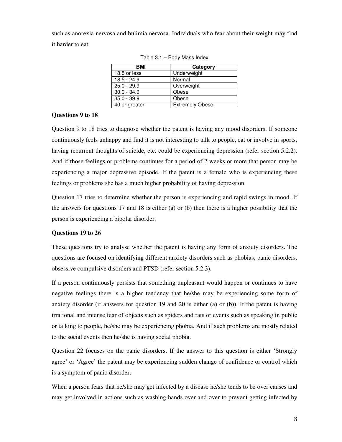such as anorexia nervosa and bulimia nervosa. Individuals who fear about their weight may find it harder to eat.

| BMI           | Category               |
|---------------|------------------------|
| 18.5 or less  | Underweight            |
| $18.5 - 24.9$ | Normal                 |
| $25.0 - 29.9$ | Overweight             |
| $30.0 - 34.9$ | Obese                  |
| $35.0 - 39.9$ | Obese                  |
| 40 or greater | <b>Extremely Obese</b> |

Table 3.1 – Body Mass Index

# **Questions 9 to 18**

Question 9 to 18 tries to diagnose whether the patent is having any mood disorders. If someone continuously feels unhappy and find it is not interesting to talk to people, eat or involve in sports, having recurrent thoughts of suicide, etc. could be experiencing depression (refer section 5.2.2). And if those feelings or problems continues for a period of 2 weeks or more that person may be experiencing a major depressive episode. If the patent is a female who is experiencing these feelings or problems she has a much higher probability of having depression.

Question 17 tries to determine whether the person is experiencing and rapid swings in mood. If the answers for questions 17 and 18 is either (a) or (b) then there is a higher possibility that the person is experiencing a bipolar disorder.

# **Questions 19 to 26**

These questions try to analyse whether the patent is having any form of anxiety disorders. The questions are focused on identifying different anxiety disorders such as phobias, panic disorders, obsessive compulsive disorders and PTSD (refer section 5.2.3).

If a person continuously persists that something unpleasant would happen or continues to have negative feelings there is a higher tendency that he/she may be experiencing some form of anxiety disorder (if answers for question 19 and 20 is either (a) or (b)). If the patent is having irrational and intense fear of objects such as spiders and rats or events such as speaking in public or talking to people, he/she may be experiencing phobia. And if such problems are mostly related to the social events then he/she is having social phobia.

Question 22 focuses on the panic disorders. If the answer to this question is either 'Strongly agree' or 'Agree' the patent may be experiencing sudden change of confidence or control which is a symptom of panic disorder.

When a person fears that he/she may get infected by a disease he/she tends to be over causes and may get involved in actions such as washing hands over and over to prevent getting infected by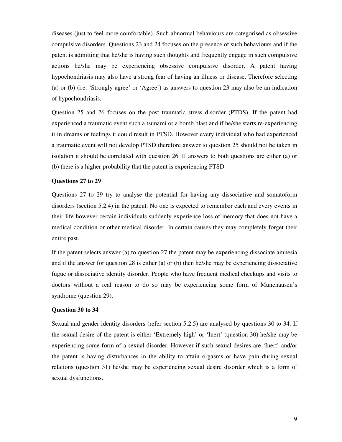diseases (just to feel more comfortable). Such abnormal behaviours are categorised as obsessive compulsive disorders. Questions 23 and 24 focuses on the presence of such behaviours and if the patent is admitting that he/she is having such thoughts and frequently engage in such compulsive actions he/she may be experiencing obsessive compulsive disorder. A patent having hypochondriasis may also have a strong fear of having an illness or disease. Therefore selecting (a) or (b) (i.e. 'Strongly agree' or 'Agree') as answers to question 23 may also be an indication of hypochondriasis.

Question 25 and 26 focuses on the post traumatic stress disorder (PTDS). If the patent had experienced a traumatic event such a tsunami or a bomb blast and if he/she starts re-experiencing it in dreams or feelings it could result in PTSD. However every individual who had experienced a traumatic event will not develop PTSD therefore answer to question 25 should not be taken in isolation it should be correlated with question 26. If answers to both questions are either (a) or (b) there is a higher probability that the patent is experiencing PTSD.

# **Questions 27 to 29**

Questions 27 to 29 try to analyse the potential for having any dissociative and somatoform disorders (section 5.2.4) in the patent. No one is expected to remember each and every events in their life however certain individuals suddenly experience loss of memory that does not have a medical condition or other medical disorder. In certain causes they may completely forget their entire past.

If the patent selects answer (a) to question 27 the patent may be experiencing dissociate amnesia and if the answer for question 28 is either (a) or (b) then he/she may be experiencing dissociative fugue or dissociative identity disorder. People who have frequent medical checkups and visits to doctors without a real reason to do so may be experiencing some form of Munchausen's syndrome (question 29).

# **Question 30 to 34**

Sexual and gender identity disorders (refer section 5.2.5) are analysed by questions 30 to 34. If the sexual desire of the patent is either 'Extremely high' or 'Inert' (question 30) he/she may be experiencing some form of a sexual disorder. However if such sexual desires are 'Inert' and/or the patent is having disturbances in the ability to attain orgasms or have pain during sexual relations (question 31) he/she may be experiencing sexual desire disorder which is a form of sexual dysfunctions.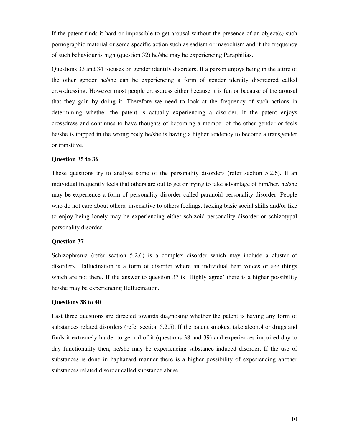If the patent finds it hard or impossible to get arousal without the presence of an object(s) such pornographic material or some specific action such as sadism or masochism and if the frequency of such behaviour is high (question 32) he/she may be experiencing Paraphilias.

Questions 33 and 34 focuses on gender identify disorders. If a person enjoys being in the attire of the other gender he/she can be experiencing a form of gender identity disordered called crossdressing. However most people crossdress either because it is fun or because of the arousal that they gain by doing it. Therefore we need to look at the frequency of such actions in determining whether the patent is actually experiencing a disorder. If the patent enjoys crossdress and continues to have thoughts of becoming a member of the other gender or feels he/she is trapped in the wrong body he/she is having a higher tendency to become a transgender or transitive.

### **Question 35 to 36**

These questions try to analyse some of the personality disorders (refer section 5.2.6). If an individual frequently feels that others are out to get or trying to take advantage of him/her, he/she may be experience a form of personality disorder called paranoid personality disorder. People who do not care about others, insensitive to others feelings, lacking basic social skills and/or like to enjoy being lonely may be experiencing either schizoid personality disorder or schizotypal personality disorder.

# **Question 37**

Schizophrenia (refer section 5.2.6) is a complex disorder which may include a cluster of disorders. Hallucination is a form of disorder where an individual hear voices or see things which are not there. If the answer to question 37 is 'Highly agree' there is a higher possibility he/she may be experiencing Hallucination.

## **Questions 38 to 40**

Last three questions are directed towards diagnosing whether the patent is having any form of substances related disorders (refer section 5.2.5). If the patent smokes, take alcohol or drugs and finds it extremely harder to get rid of it (questions 38 and 39) and experiences impaired day to day functionality then, he/she may be experiencing substance induced disorder. If the use of substances is done in haphazard manner there is a higher possibility of experiencing another substances related disorder called substance abuse.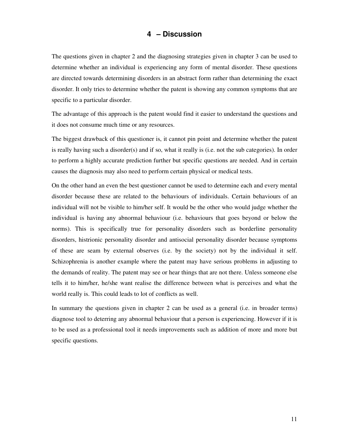# **4 – Discussion**

The questions given in chapter 2 and the diagnosing strategies given in chapter 3 can be used to determine whether an individual is experiencing any form of mental disorder. These questions are directed towards determining disorders in an abstract form rather than determining the exact disorder. It only tries to determine whether the patent is showing any common symptoms that are specific to a particular disorder.

The advantage of this approach is the patent would find it easier to understand the questions and it does not consume much time or any resources.

The biggest drawback of this questioner is, it cannot pin point and determine whether the patent is really having such a disorder(s) and if so, what it really is (i.e. not the sub categories). In order to perform a highly accurate prediction further but specific questions are needed. And in certain causes the diagnosis may also need to perform certain physical or medical tests.

On the other hand an even the best questioner cannot be used to determine each and every mental disorder because these are related to the behaviours of individuals. Certain behaviours of an individual will not be visible to him/her self. It would be the other who would judge whether the individual is having any abnormal behaviour (i.e. behaviours that goes beyond or below the norms). This is specifically true for personality disorders such as borderline personality disorders, histrionic personality disorder and antisocial personality disorder because symptoms of these are seam by external observes (i.e. by the society) not by the individual it self. Schizophrenia is another example where the patent may have serious problems in adjusting to the demands of reality. The patent may see or hear things that are not there. Unless someone else tells it to him/her, he/she want realise the difference between what is perceives and what the world really is. This could leads to lot of conflicts as well.

In summary the questions given in chapter 2 can be used as a general (i.e. in broader terms) diagnose tool to deterring any abnormal behaviour that a person is experiencing. However if it is to be used as a professional tool it needs improvements such as addition of more and more but specific questions.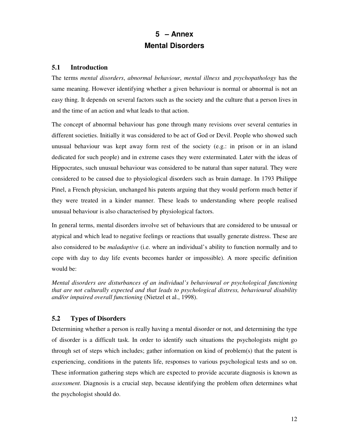# **5 – Annex Mental Disorders**

# **5.1 Introduction**

The terms *mental disorders*, *abnormal behaviour*, *mental illness* and *psychopathology* has the same meaning. However identifying whether a given behaviour is normal or abnormal is not an easy thing. It depends on several factors such as the society and the culture that a person lives in and the time of an action and what leads to that action.

The concept of abnormal behaviour has gone through many revisions over several centuries in different societies. Initially it was considered to be act of God or Devil. People who showed such unusual behaviour was kept away form rest of the society (e.g.: in prison or in an island dedicated for such people) and in extreme cases they were exterminated. Later with the ideas of Hippocrates, such unusual behaviour was considered to be natural than super natural. They were considered to be caused due to physiological disorders such as brain damage. In 1793 Philippe Pinel, a French physician, unchanged his patents arguing that they would perform much better if they were treated in a kinder manner. These leads to understanding where people realised unusual behaviour is also characterised by physiological factors.

In general terms, mental disorders involve set of behaviours that are considered to be unusual or atypical and which lead to negative feelings or reactions that usually generate distress. These are also considered to be *maladaptive* (i.e. where an individual's ability to function normally and to cope with day to day life events becomes harder or impossible). A more specific definition would be:

*Mental disorders are disturbances of an individual's behavioural or psychological functioning that are not culturally expected and that leads to psychological distress, behavioural disability and/or impaired overall functioning* (Nietzel et al., 1998).

# **5.2 Types of Disorders**

Determining whether a person is really having a mental disorder or not, and determining the type of disorder is a difficult task. In order to identify such situations the psychologists might go through set of steps which includes; gather information on kind of problem(s) that the patent is experiencing, conditions in the patents life, responses to various psychological tests and so on. These information gathering steps which are expected to provide accurate diagnosis is known as *assessment*. Diagnosis is a crucial step, because identifying the problem often determines what the psychologist should do.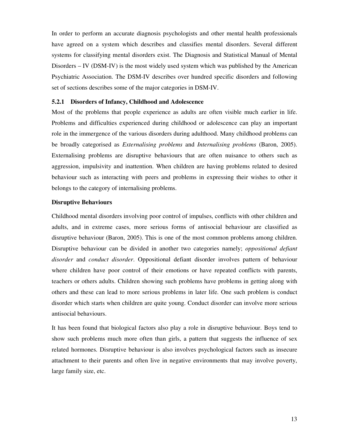In order to perform an accurate diagnosis psychologists and other mental health professionals have agreed on a system which describes and classifies mental disorders. Several different systems for classifying mental disorders exist. The Diagnosis and Statistical Manual of Mental Disorders – IV (DSM-IV) is the most widely used system which was published by the American Psychiatric Association. The DSM-IV describes over hundred specific disorders and following set of sections describes some of the major categories in DSM-IV.

# **5.2.1 Disorders of Infancy, Childhood and Adolescence**

Most of the problems that people experience as adults are often visible much earlier in life. Problems and difficulties experienced during childhood or adolescence can play an important role in the immergence of the various disorders during adulthood. Many childhood problems can be broadly categorised as *Externalising problems* and *Internalising problems* (Baron, 2005). Externalising problems are disruptive behaviours that are often nuisance to others such as aggression, impulsivity and inattention. When children are having problems related to desired behaviour such as interacting with peers and problems in expressing their wishes to other it belongs to the category of internalising problems.

# **Disruptive Behaviours**

Childhood mental disorders involving poor control of impulses, conflicts with other children and adults, and in extreme cases, more serious forms of antisocial behaviour are classified as disruptive behaviour (Baron, 2005). This is one of the most common problems among children. Disruptive behaviour can be divided in another two categories namely; *oppositional defiant disorder* and *conduct disorder*. Oppositional defiant disorder involves pattern of behaviour where children have poor control of their emotions or have repeated conflicts with parents, teachers or others adults. Children showing such problems have problems in getting along with others and these can lead to more serious problems in later life. One such problem is conduct disorder which starts when children are quite young. Conduct disorder can involve more serious antisocial behaviours.

It has been found that biological factors also play a role in disruptive behaviour. Boys tend to show such problems much more often than girls, a pattern that suggests the influence of sex related hormones. Disruptive behaviour is also involves psychological factors such as insecure attachment to their parents and often live in negative environments that may involve poverty, large family size, etc.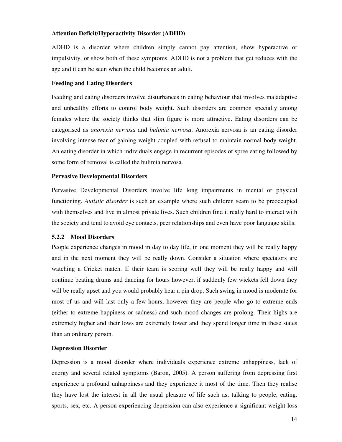# **Attention Deficit/Hyperactivity Disorder (ADHD)**

ADHD is a disorder where children simply cannot pay attention, show hyperactive or impulsivity, or show both of these symptoms. ADHD is not a problem that get reduces with the age and it can be seen when the child becomes an adult.

# **Feeding and Eating Disorders**

Feeding and eating disorders involve disturbances in eating behaviour that involves maladaptive and unhealthy efforts to control body weight. Such disorders are common specially among females where the society thinks that slim figure is more attractive. Eating disorders can be categorised as *anorexia nervosa* and *bulimia nervosa*. Anorexia nervosa is an eating disorder involving intense fear of gaining weight coupled with refusal to maintain normal body weight. An eating disorder in which individuals engage in recurrent episodes of spree eating followed by some form of removal is called the bulimia nervosa.

# **Pervasive Developmental Disorders**

Pervasive Developmental Disorders involve life long impairments in mental or physical functioning. *Autistic disorder* is such an example where such children seam to be preoccupied with themselves and live in almost private lives. Such children find it really hard to interact with the society and tend to avoid eye contacts, peer relationships and even have poor language skills.

# **5.2.2 Mood Disorders**

People experience changes in mood in day to day life, in one moment they will be really happy and in the next moment they will be really down. Consider a situation where spectators are watching a Cricket match. If their team is scoring well they will be really happy and will continue beating drums and dancing for hours however, if suddenly few wickets fell down they will be really upset and you would probably hear a pin drop. Such swing in mood is moderate for most of us and will last only a few hours, however they are people who go to extreme ends (either to extreme happiness or sadness) and such mood changes are prolong. Their highs are extremely higher and their lows are extremely lower and they spend longer time in these states than an ordinary person.

# **Depression Disorder**

Depression is a mood disorder where individuals experience extreme unhappiness, lack of energy and several related symptoms (Baron, 2005). A person suffering from depressing first experience a profound unhappiness and they experience it most of the time. Then they realise they have lost the interest in all the usual pleasure of life such as; talking to people, eating, sports, sex, etc. A person experiencing depression can also experience a significant weight loss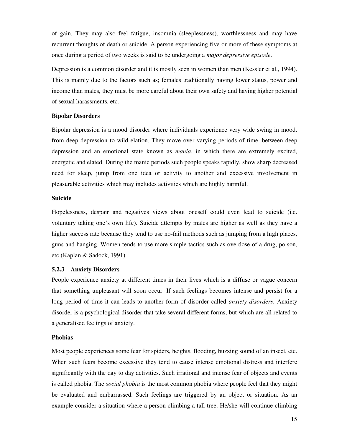of gain. They may also feel fatigue, insomnia (sleeplessness), worthlessness and may have recurrent thoughts of death or suicide. A person experiencing five or more of these symptoms at once during a period of two weeks is said to be undergoing a *major depressive episode*.

Depression is a common disorder and it is mostly seen in women than men (Kessler et al., 1994). This is mainly due to the factors such as; females traditionally having lower status, power and income than males, they must be more careful about their own safety and having higher potential of sexual harassments, etc.

# **Bipolar Disorders**

Bipolar depression is a mood disorder where individuals experience very wide swing in mood, from deep depression to wild elation. They move over varying periods of time, between deep depression and an emotional state known as *mania*, in which there are extremely excited, energetic and elated. During the manic periods such people speaks rapidly, show sharp decreased need for sleep, jump from one idea or activity to another and excessive involvement in pleasurable activities which may includes activities which are highly harmful.

# **Suicide**

Hopelessness, despair and negatives views about oneself could even lead to suicide (i.e. voluntary taking one's own life). Suicide attempts by males are higher as well as they have a higher success rate because they tend to use no-fail methods such as jumping from a high places, guns and hanging. Women tends to use more simple tactics such as overdose of a drug, poison, etc (Kaplan & Sadock, 1991).

# **5.2.3 Anxiety Disorders**

People experience anxiety at different times in their lives which is a diffuse or vague concern that something unpleasant will soon occur. If such feelings becomes intense and persist for a long period of time it can leads to another form of disorder called *anxiety disorders*. Anxiety disorder is a psychological disorder that take several different forms, but which are all related to a generalised feelings of anxiety.

# **Phobias**

Most people experiences some fear for spiders, heights, flooding, buzzing sound of an insect, etc. When such fears become excessive they tend to cause intense emotional distress and interfere significantly with the day to day activities. Such irrational and intense fear of objects and events is called phobia. The *social phobia* is the most common phobia where people feel that they might be evaluated and embarrassed. Such feelings are triggered by an object or situation. As an example consider a situation where a person climbing a tall tree. He/she will continue climbing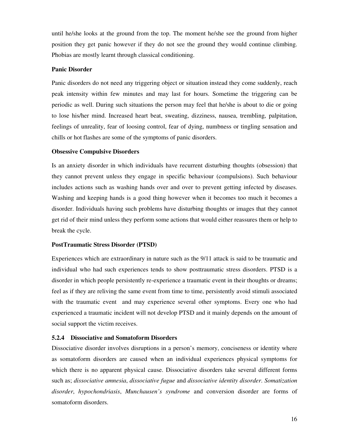until he/she looks at the ground from the top. The moment he/she see the ground from higher position they get panic however if they do not see the ground they would continue climbing. Phobias are mostly learnt through classical conditioning.

# **Panic Disorder**

Panic disorders do not need any triggering object or situation instead they come suddenly, reach peak intensity within few minutes and may last for hours. Sometime the triggering can be periodic as well. During such situations the person may feel that he/she is about to die or going to lose his/her mind. Increased heart beat, sweating, dizziness, nausea, trembling, palpitation, feelings of unreality, fear of loosing control, fear of dying, numbness or tingling sensation and chills or hot flashes are some of the symptoms of panic disorders.

# **Obsessive Compulsive Disorders**

Is an anxiety disorder in which individuals have recurrent disturbing thoughts (obsession) that they cannot prevent unless they engage in specific behaviour (compulsions). Such behaviour includes actions such as washing hands over and over to prevent getting infected by diseases. Washing and keeping hands is a good thing however when it becomes too much it becomes a disorder. Individuals having such problems have disturbing thoughts or images that they cannot get rid of their mind unless they perform some actions that would either reassures them or help to break the cycle.

# **PostTraumatic Stress Disorder (PTSD)**

Experiences which are extraordinary in nature such as the 9/11 attack is said to be traumatic and individual who had such experiences tends to show posttraumatic stress disorders. PTSD is a disorder in which people persistently re-experience a traumatic event in their thoughts or dreams; feel as if they are reliving the same event from time to time, persistently avoid stimuli associated with the traumatic event and may experience several other symptoms. Every one who had experienced a traumatic incident will not develop PTSD and it mainly depends on the amount of social support the victim receives.

# **5.2.4 Dissociative and Somatoform Disorders**

Dissociative disorder involves disruptions in a person's memory, conciseness or identity where as somatoform disorders are caused when an individual experiences physical symptoms for which there is no apparent physical cause. Dissociative disorders take several different forms such as; *dissociative amnesia*, *dissociative fugue* and *dissociative identity disorder*. *Somatization disorder*, *hypochondriasis*, *Munchausen's syndrome* and conversion disorder are forms of somatoform disorders.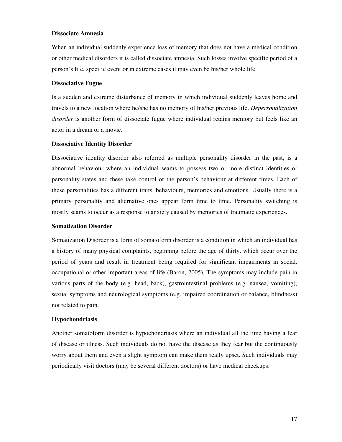# **Dissociate Amnesia**

When an individual suddenly experience loss of memory that does not have a medical condition or other medical disorders it is called dissociate amnesia. Such losses involve specific period of a person's life, specific event or in extreme cases it may even be his/her whole life.

# **Dissociative Fugue**

Is a sudden and extreme disturbance of memory in which individual suddenly leaves home and travels to a new location where he/she has no memory of his/her previous life. *Depersonalization disorder* is another form of dissociate fugue where individual retains memory but feels like an actor in a dream or a movie.

# **Dissociative Identity Disorder**

Dissociative identity disorder also referred as multiple personality disorder in the past, is a abnormal behaviour where an individual seams to possess two or more distinct identities or personality states and these take control of the person's behaviour at different times. Each of these personalities has a different traits, behaviours, memories and emotions. Usually there is a primary personality and alternative ones appear form time to time. Personality switching is mostly seams to occur as a response to anxiety caused by memories of traumatic experiences.

#### **Somatization Disorder**

Somatization Disorder is a form of somatoform disorder is a condition in which an individual has a history of many physical complaints, beginning before the age of thirty, which occur over the period of years and result in treatment being required for significant impairments in social, occupational or other important areas of life (Baron, 2005). The symptoms may include pain in various parts of the body (e.g. head, back), gastrointestinal problems (e.g. nausea, vomiting), sexual symptoms and neurological symptoms (e.g. impaired coordination or balance, blindness) not related to pain.

#### **Hypochondriasis**

Another somatoform disorder is hypochondriasis where an individual all the time having a fear of disease or illness. Such individuals do not have the disease as they fear but the continuously worry about them and even a slight symptom can make them really upset. Such individuals may periodically visit doctors (may be several different doctors) or have medical checkups.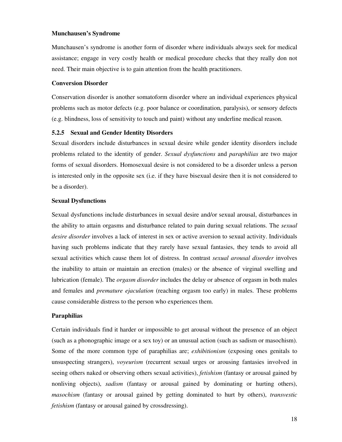# **Munchausen's Syndrome**

Munchausen's syndrome is another form of disorder where individuals always seek for medical assistance; engage in very costly health or medical procedure checks that they really don not need. Their main objective is to gain attention from the health practitioners.

# **Conversion Disorder**

Conservation disorder is another somatoform disorder where an individual experiences physical problems such as motor defects (e.g. poor balance or coordination, paralysis), or sensory defects (e.g. blindness, loss of sensitivity to touch and paint) without any underline medical reason.

# **5.2.5 Sexual and Gender Identity Disorders**

Sexual disorders include disturbances in sexual desire while gender identity disorders include problems related to the identity of gender. *Sexual dysfunctions* and *paraphilias* are two major forms of sexual disorders. Homosexual desire is not considered to be a disorder unless a person is interested only in the opposite sex (i.e. if they have bisexual desire then it is not considered to be a disorder).

# **Sexual Dysfunctions**

Sexual dysfunctions include disturbances in sexual desire and/or sexual arousal, disturbances in the ability to attain orgasms and disturbance related to pain during sexual relations. The *sexual desire disorder* involves a lack of interest in sex or active aversion to sexual activity. Individuals having such problems indicate that they rarely have sexual fantasies, they tends to avoid all sexual activities which cause them lot of distress. In contrast *sexual arousal disorder* involves the inability to attain or maintain an erection (males) or the absence of virginal swelling and lubrication (female). The *orgasm disorder* includes the delay or absence of orgasm in both males and females and *premature ejaculation* (reaching orgasm too early) in males. These problems cause considerable distress to the person who experiences them.

# **Paraphilias**

Certain individuals find it harder or impossible to get arousal without the presence of an object (such as a phonographic image or a sex toy) or an unusual action (such as sadism or masochism). Some of the more common type of paraphilias are; *exhibitionism* (exposing ones genitals to unsuspecting strangers), *voyeurism* (recurrent sexual urges or arousing fantasies involved in seeing others naked or observing others sexual activities), *fetishism* (fantasy or arousal gained by nonliving objects), *sadism* (fantasy or arousal gained by dominating or hurting others), *masochism* (fantasy or arousal gained by getting dominated to hurt by others), *transvestic fetishism* (fantasy or arousal gained by crossdressing).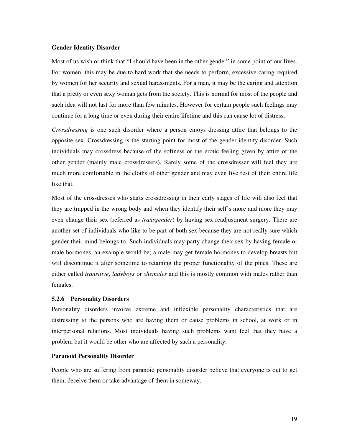## **Gender Identity Disorder**

Most of us wish or think that "I should have been in the other gender" in some point of our lives. For women, this may be due to hard work that she needs to perform, excessive caring required by women for her security and sexual harassments. For a man, it may be the caring and attention that a pretty or even sexy woman gets from the society. This is normal for most of the people and such idea will not last for more than few minutes. However for certain people such feelings may continue for a long time or even during their entire lifetime and this can cause lot of distress.

*Crossdressing* is one such disorder where a person enjoys dressing attire that belongs to the opposite sex. Crossdressing is the starting point for most of the gender identity disorder. Such individuals may crossdress because of the softness or the erotic feeling given by attire of the other gender (mainly male crossdressers). Rarely some of the crossdresser will feel they are much more comfortable in the cloths of other gender and may even live rest of their entire life like that.

Most of the crossdresses who starts crossdressing in their early stages of life will also feel that they are trapped in the wrong body and when they identify their self's more and more they may even change their sex (referred as *transgender*) by having sex readjustment surgery. There are another set of individuals who like to be part of both sex because they are not really sure which gender their mind belongs to. Such individuals may party change their sex by having female or male hormones, an example would be; a male may get female hormones to develop breasts but will discontinue it after sometime to retaining the proper functionality of the pines. These are either called *transitive*, *ladyboys* or *shemales* and this is mostly common with males rather than females.

#### **5.2.6 Personality Disorders**

Personality disorders involve extreme and inflexible personality characteristics that are distressing to the persons who are having them or cause problems in school, at work or in interpersonal relations. Most individuals having such problems want feel that they have a problem but it would be other who are affected by such a personality.

# **Paranoid Personality Disorder**

People who are suffering from paranoid personality disorder believe that everyone is out to get them, deceive them or take advantage of them in someway.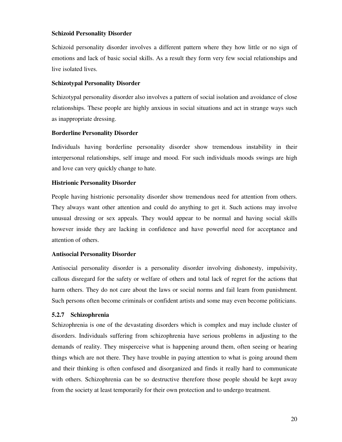# **Schizoid Personality Disorder**

Schizoid personality disorder involves a different pattern where they how little or no sign of emotions and lack of basic social skills. As a result they form very few social relationships and live isolated lives.

# **Schizotypal Personality Disorder**

Schizotypal personality disorder also involves a pattern of social isolation and avoidance of close relationships. These people are highly anxious in social situations and act in strange ways such as inappropriate dressing.

# **Borderline Personality Disorder**

Individuals having borderline personality disorder show tremendous instability in their interpersonal relationships, self image and mood. For such individuals moods swings are high and love can very quickly change to hate.

# **Histrionic Personality Disorder**

People having histrionic personality disorder show tremendous need for attention from others. They always want other attention and could do anything to get it. Such actions may involve unusual dressing or sex appeals. They would appear to be normal and having social skills however inside they are lacking in confidence and have powerful need for acceptance and attention of others.

# **Antisocial Personality Disorder**

Antisocial personality disorder is a personality disorder involving dishonesty, impulsivity, callous disregard for the safety or welfare of others and total lack of regret for the actions that harm others. They do not care about the laws or social norms and fail learn from punishment. Such persons often become criminals or confident artists and some may even become politicians.

# **5.2.7 Schizophrenia**

Schizophrenia is one of the devastating disorders which is complex and may include cluster of disorders. Individuals suffering from schizophrenia have serious problems in adjusting to the demands of reality. They misperceive what is happening around them, often seeing or hearing things which are not there. They have trouble in paying attention to what is going around them and their thinking is often confused and disorganized and finds it really hard to communicate with others. Schizophrenia can be so destructive therefore those people should be kept away from the society at least temporarily for their own protection and to undergo treatment.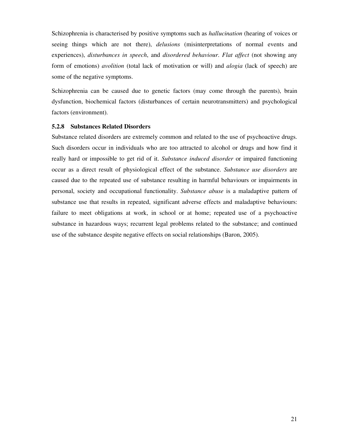Schizophrenia is characterised by positive symptoms such as *hallucination* (hearing of voices or seeing things which are not there), *delusions* (misinterpretations of normal events and experiences), *disturbances in speech*, and *disordered behaviour*. *Flat affect* (not showing any form of emotions) *avolition* (total lack of motivation or will) and *alogia* (lack of speech) are some of the negative symptoms.

Schizophrenia can be caused due to genetic factors (may come through the parents), brain dysfunction, biochemical factors (disturbances of certain neurotransmitters) and psychological factors (environment).

# **5.2.8 Substances Related Disorders**

Substance related disorders are extremely common and related to the use of psychoactive drugs. Such disorders occur in individuals who are too attracted to alcohol or drugs and how find it really hard or impossible to get rid of it. *Substance induced disorder* or impaired functioning occur as a direct result of physiological effect of the substance. *Substance use disorders* are caused due to the repeated use of substance resulting in harmful behaviours or impairments in personal, society and occupational functionality. *Substance abuse* is a maladaptive pattern of substance use that results in repeated, significant adverse effects and maladaptive behaviours: failure to meet obligations at work, in school or at home; repeated use of a psychoactive substance in hazardous ways; recurrent legal problems related to the substance; and continued use of the substance despite negative effects on social relationships (Baron, 2005).